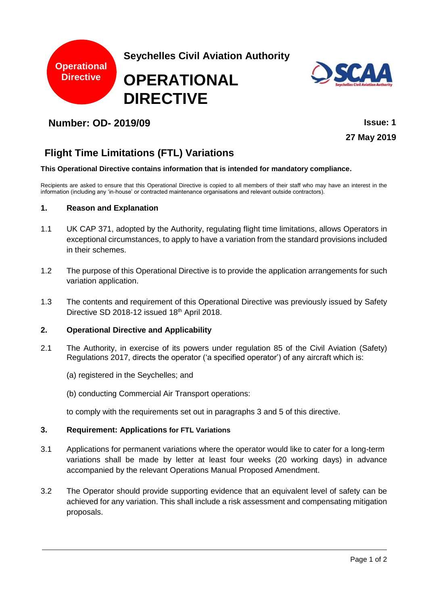



# **Number: OD- 2019/09 Issue: 1**

**27 May 2019**

# **Flight Time Limitations (FTL) Variations**

#### **This Operational Directive contains information that is intended for mandatory compliance.**

Recipients are asked to ensure that this Operational Directive is copied to all members of their staff who may have an interest in the information (including any 'in-house' or contracted maintenance organisations and relevant outside contractors).

#### **1. Reason and Explanation**

- 1.1 UK CAP 371, adopted by the Authority, regulating flight time limitations, allows Operators in exceptional circumstances, to apply to have a variation from the standard provisions included in their schemes.
- 1.2 The purpose of this Operational Directive is to provide the application arrangements for such variation application.
- 1.3 The contents and requirement of this Operational Directive was previously issued by Safety Directive SD 2018-12 issued 18th April 2018.

#### **2. Operational Directive and Applicability**

- 2.1 The Authority, in exercise of its powers under regulation 85 of the Civil Aviation (Safety) Regulations 2017, directs the operator ('a specified operator') of any aircraft which is:
	- (a) registered in the Seychelles; and
	- (b) conducting Commercial Air Transport operations:

to comply with the requirements set out in paragraphs 3 and 5 of this directive.

#### **3. Requirement: Applications for FTL Variations**

- 3.1 Applications for permanent variations where the operator would like to cater for a long-term variations shall be made by letter at least four weeks (20 working days) in advance accompanied by the relevant Operations Manual Proposed Amendment.
- 3.2 The Operator should provide supporting evidence that an equivalent level of safety can be achieved for any variation. This shall include a risk assessment and compensating mitigation proposals.